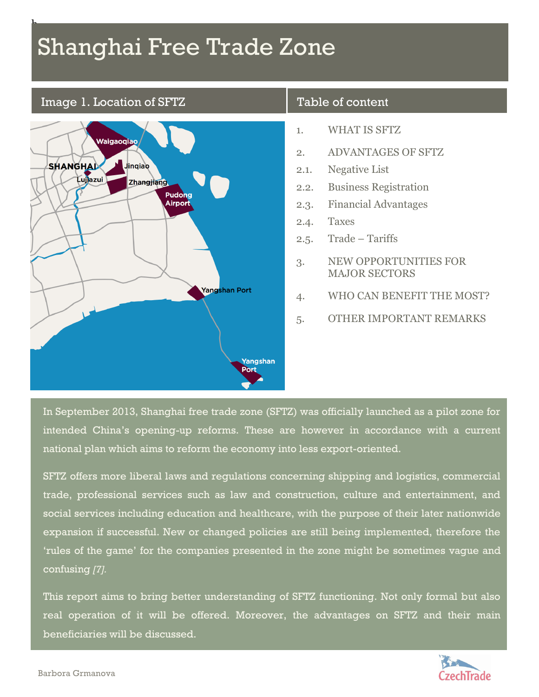# Shanghai Free Trade Zone

#### Image 1. Location of SFTZ

 $\mathbf{r}$ 



#### Table of content

- 1. WHAT IS SFTZ
- 2. ADVANTAGES OF SFTZ
- 2.1. Negative List
- 2.2. Business Registration
- 2.3. Financial Advantages
- 2.4. Taxes
- 2.5. Trade Tariffs
- 3. NEW OPPORTUNITIES FOR MAJOR SECTORS
- 4. WHO CAN BENEFIT THE MOST?
- 5. OTHER IMPORTANT REMARKS

In September 2013, Shanghai free trade zone (SFTZ) was officially launched as a pilot zone for intended China's opening-up reforms. These are however in accordance with a current national plan which aims to reform the economy into less export-oriented.

SFTZ offers more liberal laws and regulations concerning shipping and logistics, commercial trade, professional services such as law and construction, culture and entertainment, and social services including education and healthcare, with the purpose of their later nationwide expansion if successful. New or changed policies are still being implemented, therefore the 'rules of the game' for the companies presented in the zone might be sometimes vague and confusing *[7].*

This report aims to bring better understanding of SFTZ functioning. Not only formal but also real operation of it will be offered. Moreover, the advantages on SFTZ and their main beneficiaries will be discussed.

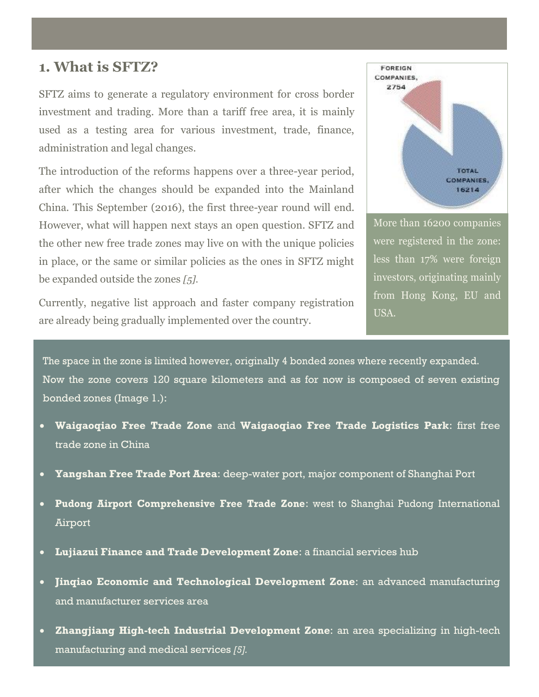### **1. What is SFTZ?**

SFTZ aims to generate a regulatory environment for cross border investment and trading. More than a tariff free area, it is mainly used as a testing area for various investment, trade, finance, administration and legal changes.

The introduction of the reforms happens over a three-year period, after which the changes should be expanded into the Mainland China. This September (2016), the first three-year round will end. However, what will happen next stays an open question. SFTZ and the other new free trade zones may live on with the unique policies in place, or the same or similar policies as the ones in SFTZ might be expanded outside the zones *[5].*

Currently, negative list approach and faster company registration are already being gradually implemented over the country.



More than 16200 companies were registered in the zone: less than 17% were foreign investors, originating mainly from Hong Kong, EU and USA.

The space in the zone is limited however, originally 4 bonded zones where recently expanded. Now the zone covers 120 square kilometers and as for now is composed of seven existing bonded zones (Image 1.):

- **Waigaoqiao Free Trade Zone** and **Waigaoqiao Free Trade Logistics Park**: first free trade zone in China
- **Yangshan Free Trade Port Area**: deep-water port, major component of Shanghai Port
- **Pudong Airport Comprehensive Free Trade Zone**: west to Shanghai Pudong International Airport
- **Lujiazui Finance and Trade Development Zone**: a financial services hub
- **Jinqiao Economic and Technological Development Zone**: an advanced manufacturing and manufacturer services area
- **Zhangjiang High-tech Industrial Development Zone**: an area specializing in high-tech manufacturing and medical services *[5].*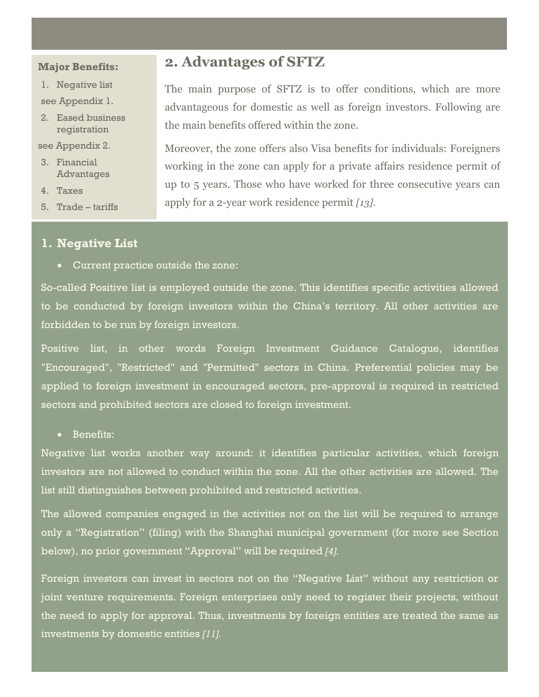#### **Major Benefits:**

- 1. Negative list
- see Appendix 1.
- 2. Eased business registration

#### see Appendix 2.

- 3. Financial Advantages
- 4. Taxes
- 5. Trade tariffs

#### **1. Negative List**

Current practice outside the zone:

So-called Positive list is employed outside the zone. This identifies specific activities allowed to be conducted by foreign investors within the China's territory. All other activities are forbidden to be run by foreign investors.

Positive list, in other words Foreign Investment Guidance Catalogue, identifies "Encouraged", "Restricted" and "Permitted" sectors in China. Preferential policies may be applied to foreign investment in encouraged sectors, pre-approval is required in restricted sectors and prohibited sectors are closed to foreign investment.

Benefits:

Negative list works another way around: it identifies particular activities, which foreign investors are not allowed to conduct within the zone. All the other activities are allowed. The list still distinguishes between prohibited and restricted activities.

The allowed companies engaged in the activities not on the list will be required to arrange only a "Registration" (filing) with the Shanghai municipal government (for more see Section below), no prior government "Approval" will be required *[4].*

Foreign investors can invest in sectors not on the "Negative List" without any restriction or joint venture requirements. Foreign enterprises only need to register their projects, without the need to apply for approval. Thus, investments by foreign entities are treated the same as investments by domestic entities *[11].*

### **2. Advantages of SFTZ**

The main purpose of SFTZ is to offer conditions, which are more advantageous for domestic as well as foreign investors. Following are the main benefits offered within the zone.

Moreover, the zone offers also Visa benefits for individuals: Foreigners working in the zone can apply for a private affairs residence permit of up to 5 years. Those who have worked for three consecutive years can apply for a 2-year work residence permit *[13].*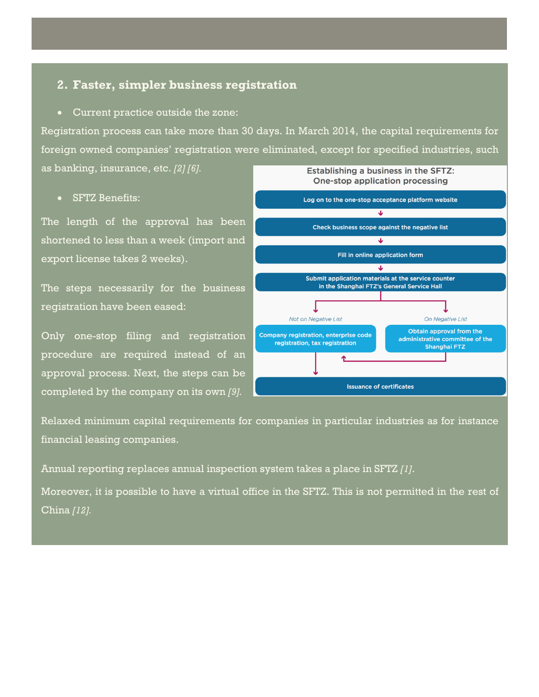#### **2. Faster, simpler business registration**

Current practice outside the zone:

Registration process can take more than 30 days. In March 2014, the capital requirements for foreign owned companies' registration were eliminated, except for specified industries, such as banking, insurance, etc. *[2] [6].* Establishing a business in the SFTZ:

SFTZ Benefits:

The length of the approval has been shortened to less than a week (import and export license takes 2 weeks).

The steps necessarily for the business registration have been eased:

Only one-stop filing and registration procedure are required instead of an approval process. Next, the steps can be completed by the company on its own *[9].*



Relaxed minimum capital requirements for companies in particular industries as for instance financial leasing companies.

Annual reporting replaces annual inspection system takes a place in SFTZ *[1]*.

Moreover, it is possible to have a virtual office in the SFTZ. This is not permitted in the rest of China *[12].*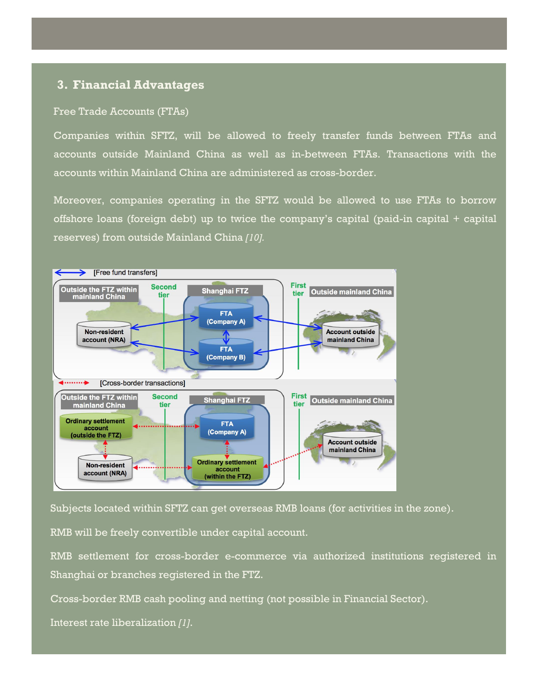#### **3. Financial Advantages**

#### Free Trade Accounts (FTAs)

Companies within SFTZ, will be allowed to freely transfer funds between FTAs and accounts outside Mainland China as well as in-between FTAs. Transactions with the accounts within Mainland China are administered as cross-border.

Moreover, companies operating in the SFTZ would be allowed to use FTAs to borrow offshore loans (foreign debt) up to twice the company's capital (paid-in capital + capital reserves) from outside Mainland China *[10].*



Subjects located within SFTZ can get overseas RMB loans (for activities in the zone).

RMB will be freely convertible under capital account.

RMB settlement for cross-border e-commerce via authorized institutions registered in Shanghai or branches registered in the FTZ.

Cross-border RMB cash pooling and netting (not possible in Financial Sector).

Interest rate liberalization *[1]*.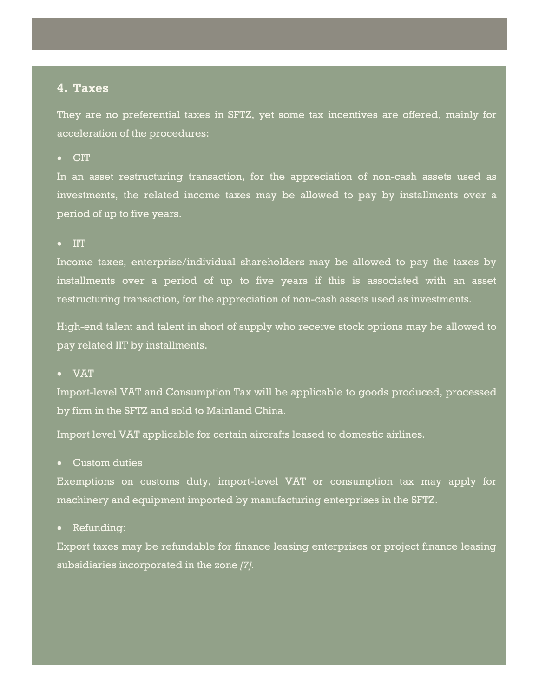#### **4. Taxes**

They are no preferential taxes in SFTZ, yet some tax incentives are offered, mainly for acceleration of the procedures:

CIT

In an asset restructuring transaction, for the appreciation of non-cash assets used as investments, the related income taxes may be allowed to pay by installments over a period of up to five years.

 $\bullet$  IIT

Income taxes, enterprise/individual shareholders may be allowed to pay the taxes by installments over a period of up to five years if this is associated with an asset restructuring transaction, for the appreciation of non-cash assets used as investments.

High-end talent and talent in short of supply who receive stock options may be allowed to pay related IIT by installments.

VAT

Import-level VAT and Consumption Tax will be applicable to goods produced, processed by firm in the SFTZ and sold to Mainland China.

Import level VAT applicable for certain aircrafts leased to domestic airlines.

Custom duties

Exemptions on customs duty, import-level VAT or consumption tax may apply for machinery and equipment imported by manufacturing enterprises in the SFTZ.

Refunding:

Export taxes may be refundable for finance leasing enterprises or project finance leasing subsidiaries incorporated in the zone *[7].*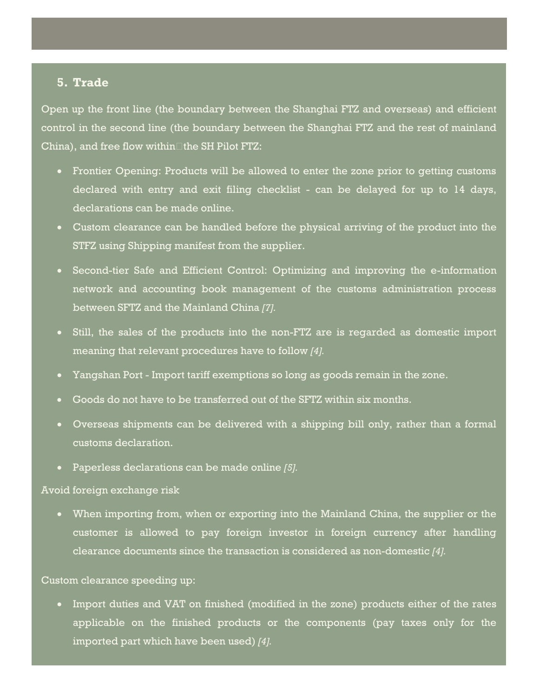#### **5. Trade**

Open up the front line (the boundary between the Shanghai FTZ and overseas) and efficient control in the second line (the boundary between the Shanghai FTZ and the rest of mainland China), and free flow within $\Box$ the SH Pilot FTZ:

- Frontier Opening: Products will be allowed to enter the zone prior to getting customs declared with entry and exit filing checklist - can be delayed for up to 14 days, declarations can be made online.
- Custom clearance can be handled before the physical arriving of the product into the STFZ using Shipping manifest from the supplier.
- Second-tier Safe and Efficient Control: Optimizing and improving the e-information network and accounting book management of the customs administration process between SFTZ and the Mainland China *[7].*
- Still, the sales of the products into the non-FTZ are is regarded as domestic import meaning that relevant procedures have to follow *[4].*
- Yangshan Port Import tariff exemptions so long as goods remain in the zone.
- Goods do not have to be transferred out of the SFTZ within six months.
- Overseas shipments can be delivered with a shipping bill only, rather than a formal customs declaration.
- Paperless declarations can be made online *[5].*

#### Avoid foreign exchange risk

 When importing from, when or exporting into the Mainland China, the supplier or the customer is allowed to pay foreign investor in foreign currency after handling clearance documents since the transaction is considered as non-domestic *[4].*

#### Custom clearance speeding up:

 Import duties and VAT on finished (modified in the zone) products either of the rates applicable on the finished products or the components (pay taxes only for the imported part which have been used) *[4].*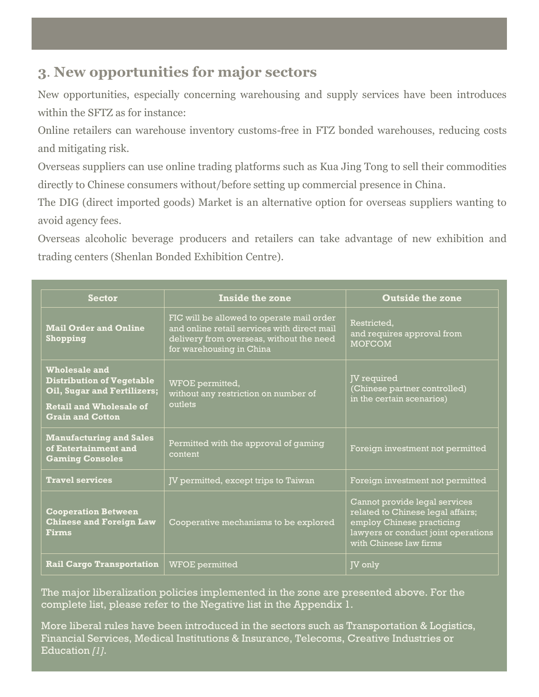### **3**. **New opportunities for major sectors**

New opportunities, especially concerning warehousing and supply services have been introduces within the SFTZ as for instance:

Online retailers can warehouse inventory customs-free in FTZ bonded warehouses, reducing costs and mitigating risk.

Overseas suppliers can use online trading platforms such as Kua Jing Tong to sell their commodities directly to Chinese consumers without/before setting up commercial presence in China.

The DIG (direct imported goods) Market is an alternative option for overseas suppliers wanting to avoid agency fees.

Overseas alcoholic beverage producers and retailers can take advantage of new exhibition and trading centers (Shenlan Bonded Exhibition Centre).

| <b>Sector</b>                                                                                                                                               | Inside the zone                                                                                                                                                  | <b>Outside the zone</b>                                                                                                                                          |
|-------------------------------------------------------------------------------------------------------------------------------------------------------------|------------------------------------------------------------------------------------------------------------------------------------------------------------------|------------------------------------------------------------------------------------------------------------------------------------------------------------------|
| <b>Mail Order and Online</b><br>Shopping                                                                                                                    | FIC will be allowed to operate mail order<br>and online retail services with direct mail<br>delivery from overseas, without the need<br>for warehousing in China | Restricted.<br>and requires approval from<br><b>MOFCOM</b>                                                                                                       |
| <b>Wholesale and</b><br><b>Distribution of Vegetable</b><br><b>Oil, Sugar and Fertilizers;</b><br><b>Retail and Wholesale of</b><br><b>Grain and Cotton</b> | WFOE permitted,<br>without any restriction on number of<br>outlets                                                                                               | <b>JV</b> required<br>(Chinese partner controlled)<br>in the certain scenarios)                                                                                  |
| <b>Manufacturing and Sales</b><br>of Entertainment and<br><b>Gaming Consoles</b>                                                                            | Permitted with the approval of gaming<br>content                                                                                                                 | Foreign investment not permitted                                                                                                                                 |
| <b>Travel services</b>                                                                                                                                      | JV permitted, except trips to Taiwan                                                                                                                             | Foreign investment not permitted                                                                                                                                 |
| <b>Cooperation Between</b><br><b>Chinese and Foreign Law</b><br><b>Firms</b>                                                                                | Cooperative mechanisms to be explored                                                                                                                            | Cannot provide legal services<br>related to Chinese legal affairs;<br>employ Chinese practicing<br>lawyers or conduct joint operations<br>with Chinese law firms |
| <b>Rail Cargo Transportation</b>                                                                                                                            | <b>WFOE</b> permitted                                                                                                                                            | JV only                                                                                                                                                          |

The major liberalization policies implemented in the zone are presented above. For the complete list, please refer to the Negative list in the Appendix 1.

More liberal rules have been introduced in the sectors such as Transportation & Logistics, Financial Services, Medical Institutions & Insurance, Telecoms, Creative Industries or Education *[1]*.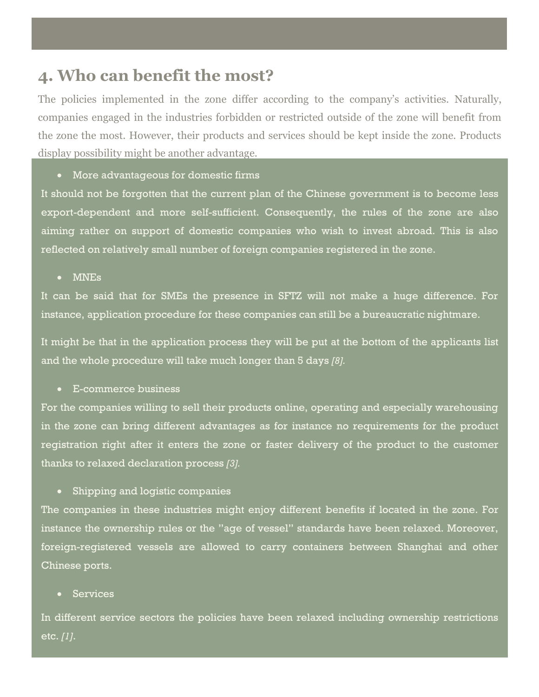## **4. Who can benefit the most?**

The policies implemented in the zone differ according to the company's activities. Naturally, companies engaged in the industries forbidden or restricted outside of the zone will benefit from the zone the most. However, their products and services should be kept inside the zone. Products display possibility might be another advantage.

#### More advantageous for domestic firms

It should not be forgotten that the current plan of the Chinese government is to become less export-dependent and more self-sufficient. Consequently, the rules of the zone are also aiming rather on support of domestic companies who wish to invest abroad. This is also reflected on relatively small number of foreign companies registered in the zone.

MNEs

It can be said that for SMEs the presence in SFTZ will not make a huge difference. For instance, application procedure for these companies can still be a bureaucratic nightmare.

It might be that in the application process they will be put at the bottom of the applicants list and the whole procedure will take much longer than 5 days *[8].*

E-commerce business

For the companies willing to sell their products online, operating and especially warehousing in the zone can bring different advantages as for instance no requirements for the product registration right after it enters the zone or faster delivery of the product to the customer thanks to relaxed declaration process *[3].*

Shipping and logistic companies

The companies in these industries might enjoy different benefits if located in the zone. For instance the ownership rules or the "age of vessel" standards have been relaxed. Moreover, foreign-registered vessels are allowed to carry containers between Shanghai and other Chinese ports.

#### Services

In different service sectors the policies have been relaxed including ownership restrictions etc. *[1]*.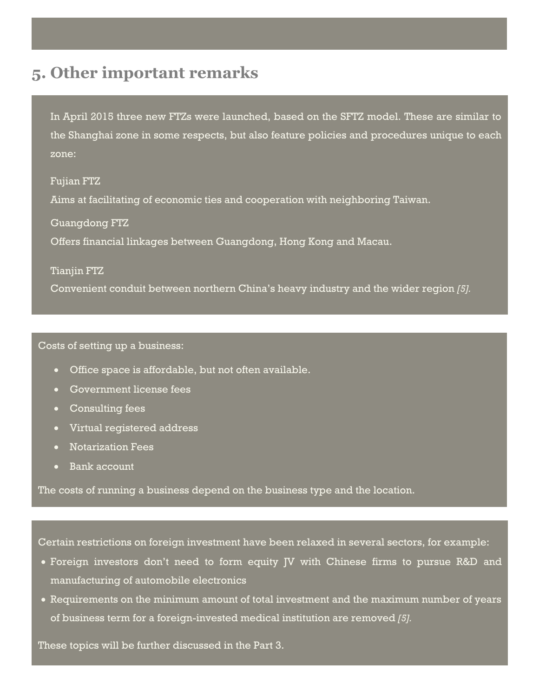# **5. Other important remarks**

In April 2015 three new FTZs were launched, based on the SFTZ model. These are similar to the Shanghai zone in some respects, but also feature policies and procedures unique to each zone:

Fujian FTZ Aims at facilitating of economic ties and cooperation with neighboring Taiwan.

Guangdong FTZ Offers financial linkages between Guangdong, Hong Kong and Macau.

Tianjin FTZ

Convenient conduit between northern China's heavy industry and the wider region *[5].*

#### Costs of setting up a business:

- Office space is affordable, but not often available.
- Government license fees
- Consulting fees
- Virtual registered address
- Notarization Fees
- Bank account

The costs of running a business depend on the business type and the location.

Certain restrictions on foreign investment have been relaxed in several sectors, for example:

- Foreign investors don't need to form equity JV with Chinese firms to pursue R&D and manufacturing of automobile electronics
- Requirements on the minimum amount of total investment and the maximum number of years of business term for a foreign-invested medical institution are removed *[5].*

These topics will be further discussed in the Part 3.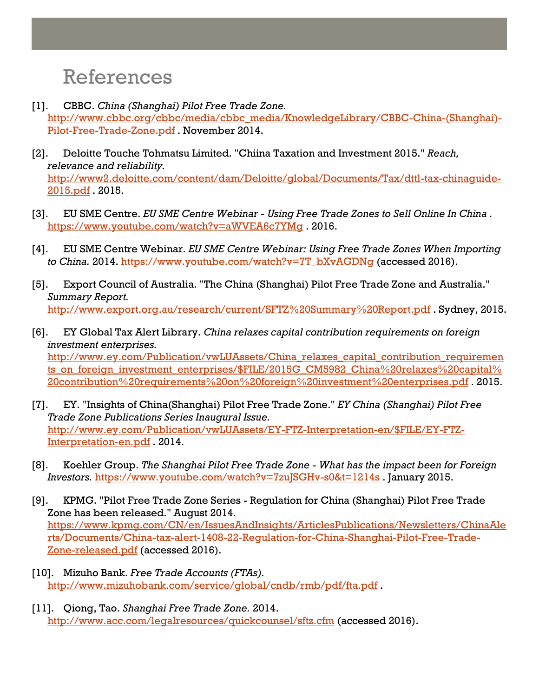# References

- [1]. CBBC. *China (Shanghai) Pilot Free Trade Zone.* [http://www.cbbc.org/cbbc/media/cbbc\\_media/KnowledgeLibrary/CBBC-China-\(Shanghai\)-](http://www.cbbc.org/cbbc/media/cbbc_media/KnowledgeLibrary/CBBC-China-(Shanghai)-Pilot-Free-Trade-Zone.pdf) [Pilot-Free-Trade-Zone.pdf](http://www.cbbc.org/cbbc/media/cbbc_media/KnowledgeLibrary/CBBC-China-(Shanghai)-Pilot-Free-Trade-Zone.pdf) . November 2014.
- [2]. Deloitte Touche Tohmatsu Limited. "Chiina Taxation and Investment 2015." *Reach, relevance and reliability.* [http://www2.deloitte.com/content/dam/Deloitte/global/Documents/Tax/dttl-tax-chinaguide-](http://www2.deloitte.com/content/dam/Deloitte/global/Documents/Tax/dttl-tax-chinaguide-2015.pdf)[2015.pdf](http://www2.deloitte.com/content/dam/Deloitte/global/Documents/Tax/dttl-tax-chinaguide-2015.pdf) . 2015.
- [3]. EU SME Centre. *EU SME Centre Webinar - Using Free Trade Zones to Sell Online In China .* <https://www.youtube.com/watch?v=aWVEA6c7YMg> . 2016.
- [4]. EU SME Centre Webinar. *EU SME Centre Webinar: Using Free Trade Zones When Importing to China.* 2014. [https://www.youtube.com/watch?v=7T\\_bXvAGDNg](https://www.youtube.com/watch?v=7T_bXvAGDNg) (accessed 2016).
- [5]. Export Council of Australia. "The China (Shanghai) Pilot Free Trade Zone and Australia." *Summary Report.* <http://www.export.org.au/research/current/SFTZ%20Summary%20Report.pdf> . Sydney, 2015.
- [6]. EY Global Tax Alert Library. *China relaxes capital contribution requirements on foreign investment enterprises.* [http://www.ey.com/Publication/vwLUAssets/China\\_relaxes\\_capital\\_contribution\\_requiremen](http://www.ey.com/Publication/vwLUAssets/China_relaxes_capital_contribution_requirements_on_foreign_investment_enterprises/$FILE/2015G_CM5982_China%20relaxes%20capital%20contribution%20requirements%20on%20foreign%20investment%20enterprises.pdf) ts on foreign investment enterprises/\$FILE/2015G CM5982 China%20relaxes%20capital% [20contribution%20requirements%20on%20foreign%20investment%20enterprises.pdf](http://www.ey.com/Publication/vwLUAssets/China_relaxes_capital_contribution_requirements_on_foreign_investment_enterprises/$FILE/2015G_CM5982_China%20relaxes%20capital%20contribution%20requirements%20on%20foreign%20investment%20enterprises.pdf) . 2015.
- [7]. EY. "Insights of China(Shanghai) Pilot Free Trade Zone." *EY China (Shanghai) Pilot Free Trade Zone Publications Series Inaugural Issue.* [http://www.ey.com/Publication/vwLUAssets/EY-FTZ-Interpretation-en/\\$FILE/EY-FTZ-](http://www.ey.com/Publication/vwLUAssets/EY-FTZ-Interpretation-en/$FILE/EY-FTZ-Interpretation-en.pdf)[Interpretation-en.pdf](http://www.ey.com/Publication/vwLUAssets/EY-FTZ-Interpretation-en/$FILE/EY-FTZ-Interpretation-en.pdf) . 2014.
- [8]. Koehler Group. *The Shanghai Pilot Free Trade Zone - What has the impact been for Foreign Investors.* <https://www.youtube.com/watch?v=7zuJSGHv-s0&t=1214s> . January 2015.
- [9]. KPMG. "Pilot Free Trade Zone Series Regulation for China (Shanghai) Pilot Free Trade Zone has been released." August 2014. [https://www.kpmg.com/CN/en/IssuesAndInsights/ArticlesPublications/Newsletters/ChinaAle](https://www.kpmg.com/CN/en/IssuesAndInsights/ArticlesPublications/Newsletters/ChinaAlerts/Documents/China-tax-alert-1408-22-Regulation-for-China-Shanghai-Pilot-Free-Trade-Zone-released.pdf) [rts/Documents/China-tax-alert-1408-22-Regulation-for-China-Shanghai-Pilot-Free-Trade-](https://www.kpmg.com/CN/en/IssuesAndInsights/ArticlesPublications/Newsletters/ChinaAlerts/Documents/China-tax-alert-1408-22-Regulation-for-China-Shanghai-Pilot-Free-Trade-Zone-released.pdf)[Zone-released.pdf](https://www.kpmg.com/CN/en/IssuesAndInsights/ArticlesPublications/Newsletters/ChinaAlerts/Documents/China-tax-alert-1408-22-Regulation-for-China-Shanghai-Pilot-Free-Trade-Zone-released.pdf) (accessed 2016).
- [10]. Mizuho Bank. *Free Trade Accounts (FTAs).* <http://www.mizuhobank.com/service/global/cndb/rmb/pdf/fta.pdf> .
- [11]. Qiong, Tao. *Shanghai Free Trade Zone.* 2014. <http://www.acc.com/legalresources/quickcounsel/sftz.cfm> (accessed 2016).